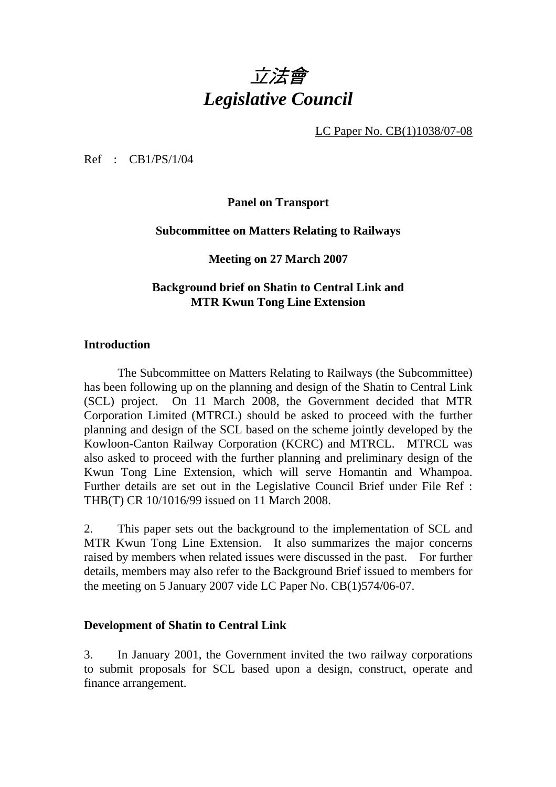

LC Paper No. CB(1)1038/07-08

Ref : CB1/PS/1/04

**Panel on Transport** 

## **Subcommittee on Matters Relating to Railways**

## **Meeting on 27 March 2007**

# **Background brief on Shatin to Central Link and MTR Kwun Tong Line Extension**

## **Introduction**

1. The Subcommittee on Matters Relating to Railways (the Subcommittee) has been following up on the planning and design of the Shatin to Central Link (SCL) project. On 11 March 2008, the Government decided that MTR Corporation Limited (MTRCL) should be asked to proceed with the further planning and design of the SCL based on the scheme jointly developed by the Kowloon-Canton Railway Corporation (KCRC) and MTRCL. MTRCL was also asked to proceed with the further planning and preliminary design of the Kwun Tong Line Extension, which will serve Homantin and Whampoa. Further details are set out in the Legislative Council Brief under File Ref : THB(T) CR 10/1016/99 issued on 11 March 2008.

2. This paper sets out the background to the implementation of SCL and MTR Kwun Tong Line Extension. It also summarizes the major concerns raised by members when related issues were discussed in the past. For further details, members may also refer to the Background Brief issued to members for the meeting on 5 January 2007 vide LC Paper No. CB(1)574/06-07.

### **Development of Shatin to Central Link**

3. In January 2001, the Government invited the two railway corporations to submit proposals for SCL based upon a design, construct, operate and finance arrangement.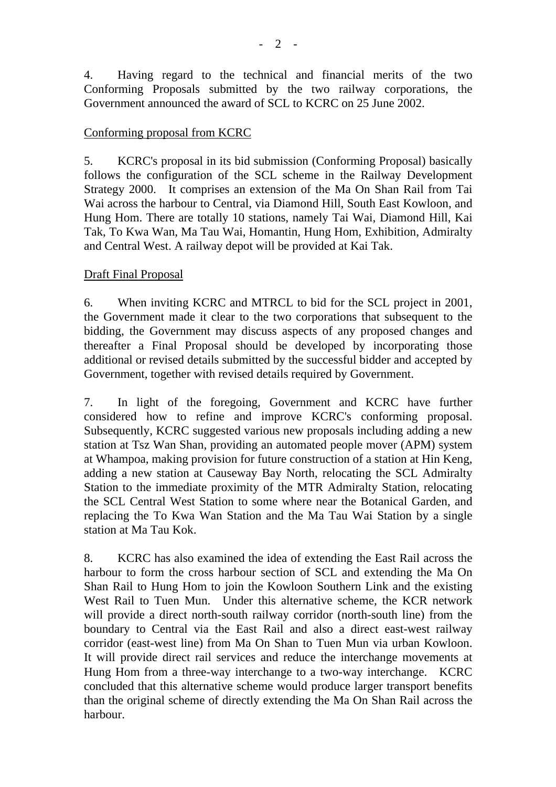4. Having regard to the technical and financial merits of the two Conforming Proposals submitted by the two railway corporations, the Government announced the award of SCL to KCRC on 25 June 2002.

## Conforming proposal from KCRC

5. KCRC's proposal in its bid submission (Conforming Proposal) basically follows the configuration of the SCL scheme in the Railway Development Strategy 2000. It comprises an extension of the Ma On Shan Rail from Tai Wai across the harbour to Central, via Diamond Hill, South East Kowloon, and Hung Hom. There are totally 10 stations, namely Tai Wai, Diamond Hill, Kai Tak, To Kwa Wan, Ma Tau Wai, Homantin, Hung Hom, Exhibition, Admiralty and Central West. A railway depot will be provided at Kai Tak.

# Draft Final Proposal

6. When inviting KCRC and MTRCL to bid for the SCL project in 2001, the Government made it clear to the two corporations that subsequent to the bidding, the Government may discuss aspects of any proposed changes and thereafter a Final Proposal should be developed by incorporating those additional or revised details submitted by the successful bidder and accepted by Government, together with revised details required by Government.

7. In light of the foregoing, Government and KCRC have further considered how to refine and improve KCRC's conforming proposal. Subsequently, KCRC suggested various new proposals including adding a new station at Tsz Wan Shan, providing an automated people mover (APM) system at Whampoa, making provision for future construction of a station at Hin Keng, adding a new station at Causeway Bay North, relocating the SCL Admiralty Station to the immediate proximity of the MTR Admiralty Station, relocating the SCL Central West Station to some where near the Botanical Garden, and replacing the To Kwa Wan Station and the Ma Tau Wai Station by a single station at Ma Tau Kok.

8. KCRC has also examined the idea of extending the East Rail across the harbour to form the cross harbour section of SCL and extending the Ma On Shan Rail to Hung Hom to join the Kowloon Southern Link and the existing West Rail to Tuen Mun. Under this alternative scheme, the KCR network will provide a direct north-south railway corridor (north-south line) from the boundary to Central via the East Rail and also a direct east-west railway corridor (east-west line) from Ma On Shan to Tuen Mun via urban Kowloon. It will provide direct rail services and reduce the interchange movements at Hung Hom from a three-way interchange to a two-way interchange. KCRC concluded that this alternative scheme would produce larger transport benefits than the original scheme of directly extending the Ma On Shan Rail across the harbour.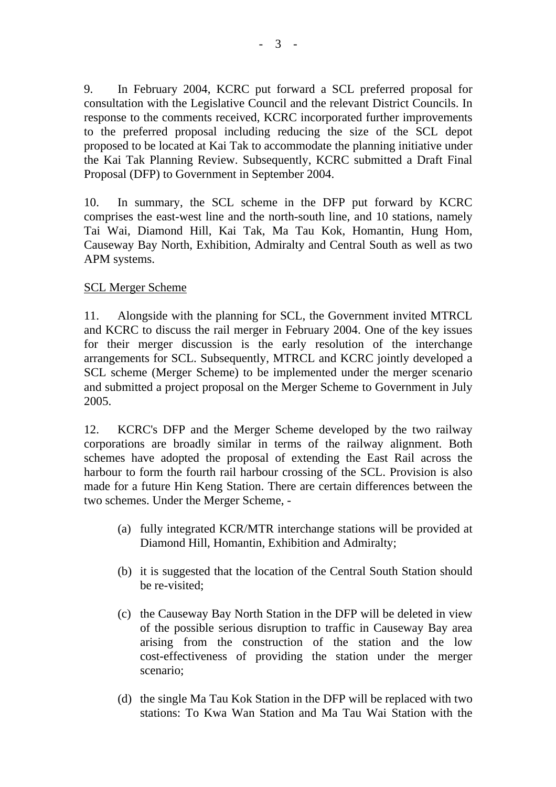9. In February 2004, KCRC put forward a SCL preferred proposal for consultation with the Legislative Council and the relevant District Councils. In response to the comments received, KCRC incorporated further improvements to the preferred proposal including reducing the size of the SCL depot proposed to be located at Kai Tak to accommodate the planning initiative under the Kai Tak Planning Review. Subsequently, KCRC submitted a Draft Final Proposal (DFP) to Government in September 2004.

10. In summary, the SCL scheme in the DFP put forward by KCRC comprises the east-west line and the north-south line, and 10 stations, namely Tai Wai, Diamond Hill, Kai Tak, Ma Tau Kok, Homantin, Hung Hom, Causeway Bay North, Exhibition, Admiralty and Central South as well as two APM systems.

# SCL Merger Scheme

11. Alongside with the planning for SCL, the Government invited MTRCL and KCRC to discuss the rail merger in February 2004. One of the key issues for their merger discussion is the early resolution of the interchange arrangements for SCL. Subsequently, MTRCL and KCRC jointly developed a SCL scheme (Merger Scheme) to be implemented under the merger scenario and submitted a project proposal on the Merger Scheme to Government in July 2005.

12. KCRC's DFP and the Merger Scheme developed by the two railway corporations are broadly similar in terms of the railway alignment. Both schemes have adopted the proposal of extending the East Rail across the harbour to form the fourth rail harbour crossing of the SCL. Provision is also made for a future Hin Keng Station. There are certain differences between the two schemes. Under the Merger Scheme, -

- (a) fully integrated KCR/MTR interchange stations will be provided at Diamond Hill, Homantin, Exhibition and Admiralty;
- (b) it is suggested that the location of the Central South Station should be re-visited;
- (c) the Causeway Bay North Station in the DFP will be deleted in view of the possible serious disruption to traffic in Causeway Bay area arising from the construction of the station and the low cost-effectiveness of providing the station under the merger scenario;
- (d) the single Ma Tau Kok Station in the DFP will be replaced with two stations: To Kwa Wan Station and Ma Tau Wai Station with the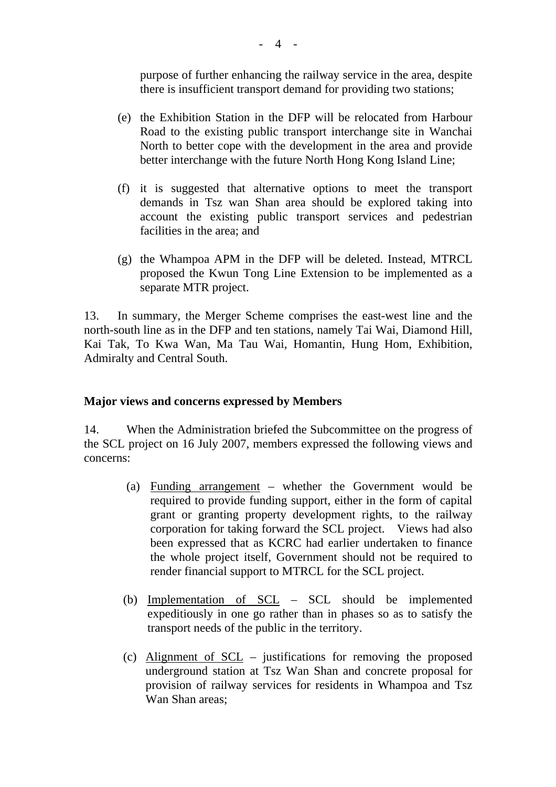purpose of further enhancing the railway service in the area, despite there is insufficient transport demand for providing two stations;

- (e) the Exhibition Station in the DFP will be relocated from Harbour Road to the existing public transport interchange site in Wanchai North to better cope with the development in the area and provide better interchange with the future North Hong Kong Island Line;
- (f) it is suggested that alternative options to meet the transport demands in Tsz wan Shan area should be explored taking into account the existing public transport services and pedestrian facilities in the area; and
- (g) the Whampoa APM in the DFP will be deleted. Instead, MTRCL proposed the Kwun Tong Line Extension to be implemented as a separate MTR project.

13. In summary, the Merger Scheme comprises the east-west line and the north-south line as in the DFP and ten stations, namely Tai Wai, Diamond Hill, Kai Tak, To Kwa Wan, Ma Tau Wai, Homantin, Hung Hom, Exhibition, Admiralty and Central South.

### **Major views and concerns expressed by Members**

14. When the Administration briefed the Subcommittee on the progress of the SCL project on 16 July 2007, members expressed the following views and concerns:

- (a) Funding arrangement whether the Government would be required to provide funding support, either in the form of capital grant or granting property development rights, to the railway corporation for taking forward the SCL project. Views had also been expressed that as KCRC had earlier undertaken to finance the whole project itself, Government should not be required to render financial support to MTRCL for the SCL project.
- (b) Implementation of SCL SCL should be implemented expeditiously in one go rather than in phases so as to satisfy the transport needs of the public in the territory.
- (c) Alignment of SCL justifications for removing the proposed underground station at Tsz Wan Shan and concrete proposal for provision of railway services for residents in Whampoa and Tsz Wan Shan areas;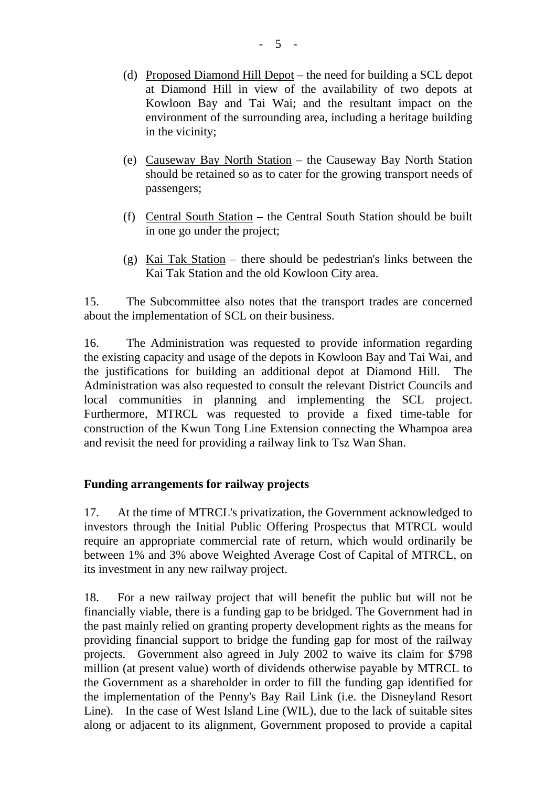- (d) Proposed Diamond Hill Depot the need for building a SCL depot at Diamond Hill in view of the availability of two depots at Kowloon Bay and Tai Wai; and the resultant impact on the environment of the surrounding area, including a heritage building in the vicinity;
- (e) Causeway Bay North Station the Causeway Bay North Station should be retained so as to cater for the growing transport needs of passengers;
- (f) Central South Station the Central South Station should be built in one go under the project;
- (g) Kai Tak Station there should be pedestrian's links between the Kai Tak Station and the old Kowloon City area.

15. The Subcommittee also notes that the transport trades are concerned about the implementation of SCL on their business.

16. The Administration was requested to provide information regarding the existing capacity and usage of the depots in Kowloon Bay and Tai Wai, and the justifications for building an additional depot at Diamond Hill. The Administration was also requested to consult the relevant District Councils and local communities in planning and implementing the SCL project. Furthermore, MTRCL was requested to provide a fixed time-table for construction of the Kwun Tong Line Extension connecting the Whampoa area and revisit the need for providing a railway link to Tsz Wan Shan.

# **Funding arrangements for railway projects**

17. At the time of MTRCL's privatization, the Government acknowledged to investors through the Initial Public Offering Prospectus that MTRCL would require an appropriate commercial rate of return, which would ordinarily be between 1% and 3% above Weighted Average Cost of Capital of MTRCL, on its investment in any new railway project.

18. For a new railway project that will benefit the public but will not be financially viable, there is a funding gap to be bridged. The Government had in the past mainly relied on granting property development rights as the means for providing financial support to bridge the funding gap for most of the railway projects. Government also agreed in July 2002 to waive its claim for \$798 million (at present value) worth of dividends otherwise payable by MTRCL to the Government as a shareholder in order to fill the funding gap identified for the implementation of the Penny's Bay Rail Link (i.e. the Disneyland Resort Line). In the case of West Island Line (WIL), due to the lack of suitable sites along or adjacent to its alignment, Government proposed to provide a capital